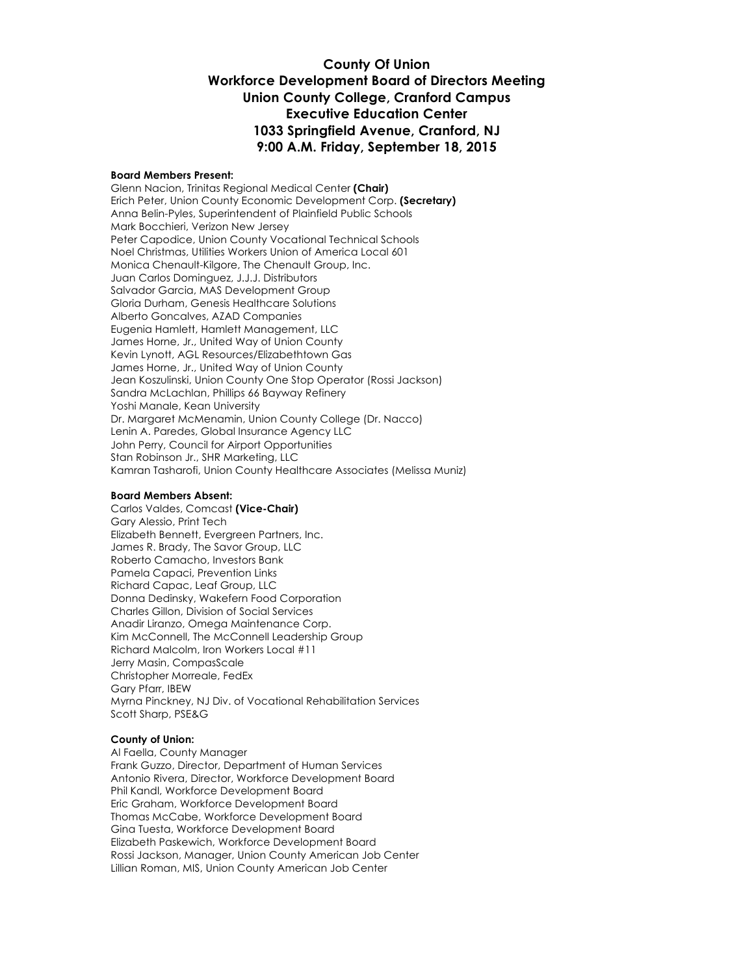### **County Of Union Workforce Development Board of Directors Meeting Union County College, Cranford Campus Executive Education Center 1033 Springfield Avenue, Cranford, NJ 9:00 A.M. Friday, September 18, 2015**

#### **Board Members Present:**

Glenn Nacion, Trinitas Regional Medical Center **(Chair)** Erich Peter, Union County Economic Development Corp. **(Secretary)** Anna Belin-Pyles, Superintendent of Plainfield Public Schools Mark Bocchieri, Verizon New Jersey Peter Capodice, Union County Vocational Technical Schools Noel Christmas, Utilities Workers Union of America Local 601 Monica Chenault-Kilgore, The Chenault Group, Inc. Juan Carlos Dominguez, J.J.J. Distributors Salvador Garcia, MAS Development Group Gloria Durham, Genesis Healthcare Solutions Alberto Goncalves, AZAD Companies Eugenia Hamlett, Hamlett Management, LLC James Horne, Jr., United Way of Union County Kevin Lynott, AGL Resources/Elizabethtown Gas James Horne, Jr., United Way of Union County Jean Koszulinski, Union County One Stop Operator (Rossi Jackson) Sandra McLachlan, Phillips 66 Bayway Refinery Yoshi Manale, Kean University Dr. Margaret McMenamin, Union County College (Dr. Nacco) Lenin A. Paredes, Global Insurance Agency LLC John Perry, Council for Airport Opportunities Stan Robinson Jr., SHR Marketing, LLC Kamran Tasharofi, Union County Healthcare Associates (Melissa Muniz)

#### **Board Members Absent:**

Carlos Valdes, Comcast **(Vice-Chair)** Gary Alessio, Print Tech Elizabeth Bennett, Evergreen Partners, Inc. James R. Brady, The Savor Group, LLC Roberto Camacho, Investors Bank Pamela Capaci, Prevention Links Richard Capac, Leaf Group, LLC Donna Dedinsky, Wakefern Food Corporation Charles Gillon, Division of Social Services Anadir Liranzo, Omega Maintenance Corp. Kim McConnell, The McConnell Leadership Group Richard Malcolm, Iron Workers Local #11 Jerry Masin, CompasScale Christopher Morreale, FedEx Gary Pfarr, IBEW Myrna Pinckney, NJ Div. of Vocational Rehabilitation Services Scott Sharp, PSE&G

#### **County of Union:**

Al Faella, County Manager Frank Guzzo, Director, Department of Human Services Antonio Rivera, Director, Workforce Development Board Phil Kandl, Workforce Development Board Eric Graham, Workforce Development Board Thomas McCabe, Workforce Development Board Gina Tuesta, Workforce Development Board Elizabeth Paskewich, Workforce Development Board Rossi Jackson, Manager, Union County American Job Center Lillian Roman, MIS, Union County American Job Center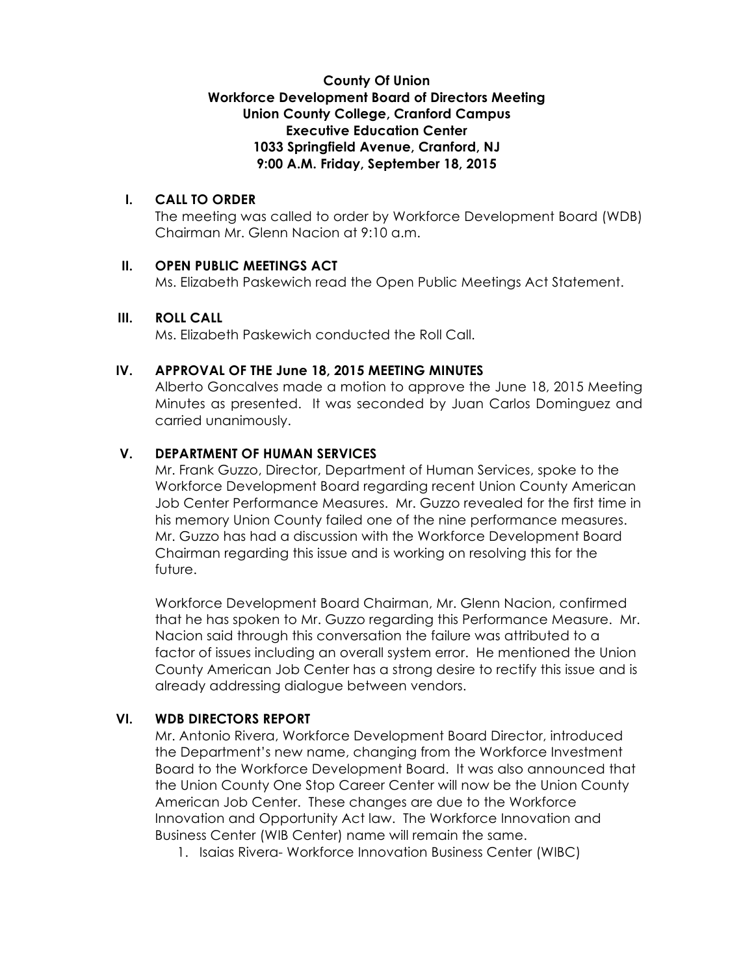## **County Of Union Workforce Development Board of Directors Meeting Union County College, Cranford Campus Executive Education Center 1033 Springfield Avenue, Cranford, NJ 9:00 A.M. Friday, September 18, 2015**

## **I. CALL TO ORDER**

The meeting was called to order by Workforce Development Board (WDB) Chairman Mr. Glenn Nacion at 9:10 a.m.

### **II. OPEN PUBLIC MEETINGS ACT**

Ms. Elizabeth Paskewich read the Open Public Meetings Act Statement.

#### **III. ROLL CALL**

Ms. Elizabeth Paskewich conducted the Roll Call.

#### **IV. APPROVAL OF THE June 18, 2015 MEETING MINUTES**

Alberto Goncalves made a motion to approve the June 18, 2015 Meeting Minutes as presented. It was seconded by Juan Carlos Dominguez and carried unanimously.

### **V. DEPARTMENT OF HUMAN SERVICES**

Mr. Frank Guzzo, Director, Department of Human Services, spoke to the Workforce Development Board regarding recent Union County American Job Center Performance Measures. Mr. Guzzo revealed for the first time in his memory Union County failed one of the nine performance measures. Mr. Guzzo has had a discussion with the Workforce Development Board Chairman regarding this issue and is working on resolving this for the future.

Workforce Development Board Chairman, Mr. Glenn Nacion, confirmed that he has spoken to Mr. Guzzo regarding this Performance Measure. Mr. Nacion said through this conversation the failure was attributed to a factor of issues including an overall system error. He mentioned the Union County American Job Center has a strong desire to rectify this issue and is already addressing dialogue between vendors.

### **VI. WDB DIRECTORS REPORT**

Mr. Antonio Rivera, Workforce Development Board Director, introduced the Department's new name, changing from the Workforce Investment Board to the Workforce Development Board. It was also announced that the Union County One Stop Career Center will now be the Union County American Job Center. These changes are due to the Workforce Innovation and Opportunity Act law. The Workforce Innovation and Business Center (WIB Center) name will remain the same.

1. Isaias Rivera- Workforce Innovation Business Center (WIBC)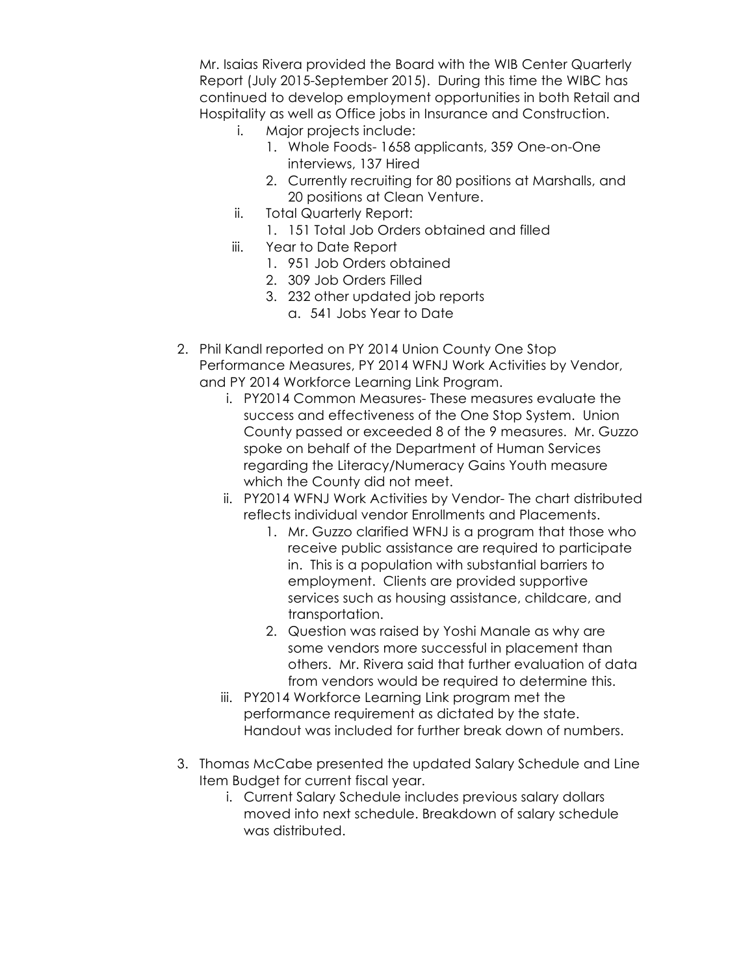Mr. Isaias Rivera provided the Board with the WIB Center Quarterly Report (July 2015-September 2015). During this time the WIBC has continued to develop employment opportunities in both Retail and Hospitality as well as Office jobs in Insurance and Construction.

- i. Major projects include:
	- 1. Whole Foods- 1658 applicants, 359 One-on-One interviews, 137 Hired
	- 2. Currently recruiting for 80 positions at Marshalls, and 20 positions at Clean Venture.
- ii. Total Quarterly Report:
	- 1. 151 Total Job Orders obtained and filled
- iii. Year to Date Report
	- 1. 951 Job Orders obtained
	- 2. 309 Job Orders Filled
	- 3. 232 other updated job reports
		- a. 541 Jobs Year to Date
- 2. Phil Kandl reported on PY 2014 Union County One Stop Performance Measures, PY 2014 WFNJ Work Activities by Vendor, and PY 2014 Workforce Learning Link Program.
	- i. PY2014 Common Measures- These measures evaluate the success and effectiveness of the One Stop System. Union County passed or exceeded 8 of the 9 measures. Mr. Guzzo spoke on behalf of the Department of Human Services regarding the Literacy/Numeracy Gains Youth measure which the County did not meet.
	- ii. PY2014 WFNJ Work Activities by Vendor- The chart distributed reflects individual vendor Enrollments and Placements.
		- 1. Mr. Guzzo clarified WFNJ is a program that those who receive public assistance are required to participate in. This is a population with substantial barriers to employment. Clients are provided supportive services such as housing assistance, childcare, and transportation.
		- 2. Question was raised by Yoshi Manale as why are some vendors more successful in placement than others. Mr. Rivera said that further evaluation of data from vendors would be required to determine this.
	- iii. PY2014 Workforce Learning Link program met the performance requirement as dictated by the state. Handout was included for further break down of numbers.
- 3. Thomas McCabe presented the updated Salary Schedule and Line Item Budget for current fiscal year.
	- i. Current Salary Schedule includes previous salary dollars moved into next schedule. Breakdown of salary schedule was distributed.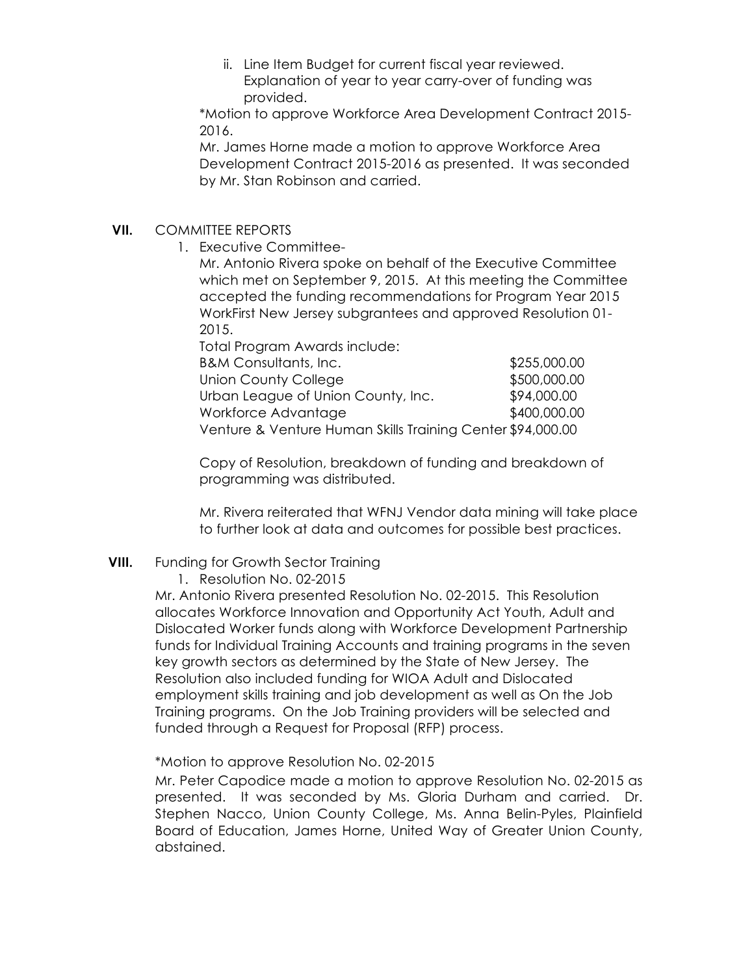ii. Line Item Budget for current fiscal year reviewed. Explanation of year to year carry-over of funding was provided.

\*Motion to approve Workforce Area Development Contract 2015- 2016.

Mr. James Horne made a motion to approve Workforce Area Development Contract 2015-2016 as presented. It was seconded by Mr. Stan Robinson and carried.

## **VII.** COMMITTEE REPORTS

1. Executive Committee-

Mr. Antonio Rivera spoke on behalf of the Executive Committee which met on September 9, 2015. At this meeting the Committee accepted the funding recommendations for Program Year 2015 WorkFirst New Jersey subgrantees and approved Resolution 01- 2015.

Total Program Awards include:

| <b>B&amp;M Consultants, Inc.</b>                           | \$255,000.00 |
|------------------------------------------------------------|--------------|
| Union County College                                       | \$500,000.00 |
| Urban League of Union County, Inc.                         | \$94,000.00  |
| Workforce Advantage                                        | \$400,000.00 |
| Venture & Venture Human Skills Training Center \$94,000.00 |              |

Copy of Resolution, breakdown of funding and breakdown of programming was distributed.

Mr. Rivera reiterated that WFNJ Vendor data mining will take place to further look at data and outcomes for possible best practices.

# **VIII.** Funding for Growth Sector Training

1. Resolution No. 02-2015

Mr. Antonio Rivera presented Resolution No. 02-2015. This Resolution allocates Workforce Innovation and Opportunity Act Youth, Adult and Dislocated Worker funds along with Workforce Development Partnership funds for Individual Training Accounts and training programs in the seven key growth sectors as determined by the State of New Jersey. The Resolution also included funding for WIOA Adult and Dislocated employment skills training and job development as well as On the Job Training programs. On the Job Training providers will be selected and funded through a Request for Proposal (RFP) process.

### \*Motion to approve Resolution No. 02-2015

Mr. Peter Capodice made a motion to approve Resolution No. 02-2015 as presented. It was seconded by Ms. Gloria Durham and carried. Dr. Stephen Nacco, Union County College, Ms. Anna Belin-Pyles, Plainfield Board of Education, James Horne, United Way of Greater Union County, abstained.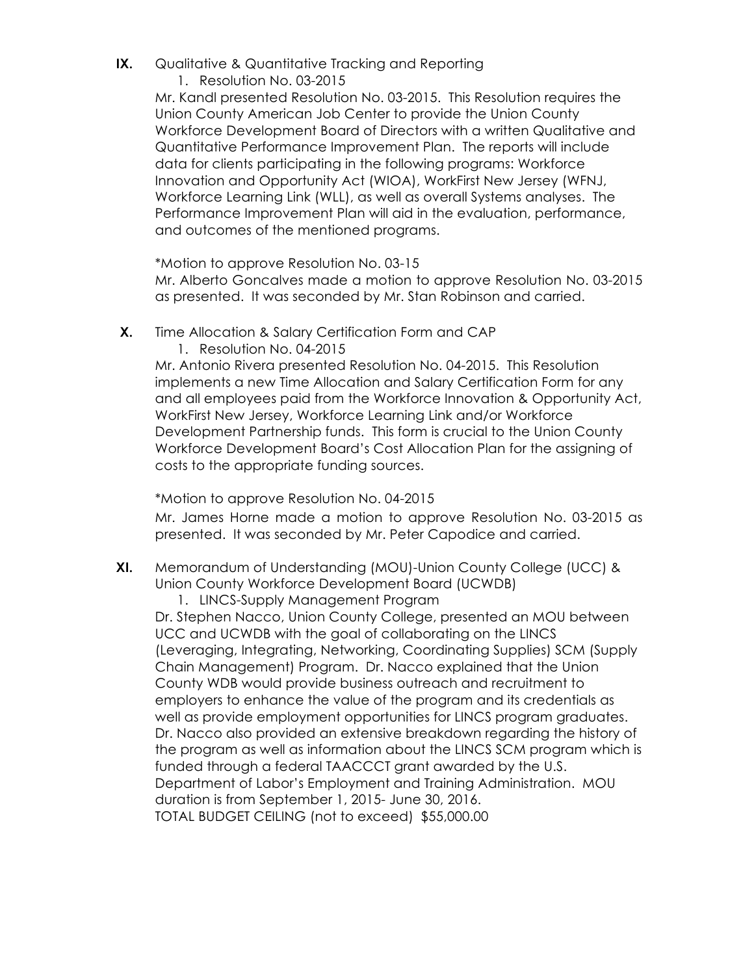- **IX.** Qualitative & Quantitative Tracking and Reporting
	- 1. Resolution No. 03-2015

Mr. Kandl presented Resolution No. 03-2015. This Resolution requires the Union County American Job Center to provide the Union County Workforce Development Board of Directors with a written Qualitative and Quantitative Performance Improvement Plan. The reports will include data for clients participating in the following programs: Workforce Innovation and Opportunity Act (WIOA), WorkFirst New Jersey (WFNJ, Workforce Learning Link (WLL), as well as overall Systems analyses. The Performance Improvement Plan will aid in the evaluation, performance, and outcomes of the mentioned programs.

\*Motion to approve Resolution No. 03-15 Mr. Alberto Goncalves made a motion to approve Resolution No. 03-2015 as presented. It was seconded by Mr. Stan Robinson and carried.

- **X.** Time Allocation & Salary Certification Form and CAP
	- 1. Resolution No. 04-2015

Mr. Antonio Rivera presented Resolution No. 04-2015. This Resolution implements a new Time Allocation and Salary Certification Form for any and all employees paid from the Workforce Innovation & Opportunity Act, WorkFirst New Jersey, Workforce Learning Link and/or Workforce Development Partnership funds. This form is crucial to the Union County Workforce Development Board's Cost Allocation Plan for the assigning of costs to the appropriate funding sources.

\*Motion to approve Resolution No. 04-2015

Mr. James Horne made a motion to approve Resolution No. 03-2015 as presented. It was seconded by Mr. Peter Capodice and carried.

- **XI.** Memorandum of Understanding (MOU)-Union County College (UCC) & Union County Workforce Development Board (UCWDB)
	- 1. LINCS-Supply Management Program

Dr. Stephen Nacco, Union County College, presented an MOU between UCC and UCWDB with the goal of collaborating on the LINCS (Leveraging, Integrating, Networking, Coordinating Supplies) SCM (Supply Chain Management) Program. Dr. Nacco explained that the Union County WDB would provide business outreach and recruitment to employers to enhance the value of the program and its credentials as well as provide employment opportunities for LINCS program graduates. Dr. Nacco also provided an extensive breakdown regarding the history of the program as well as information about the LINCS SCM program which is funded through a federal TAACCCT grant awarded by the U.S. Department of Labor's Employment and Training Administration. MOU duration is from September 1, 2015- June 30, 2016. TOTAL BUDGET CEILING (not to exceed) \$55,000.00